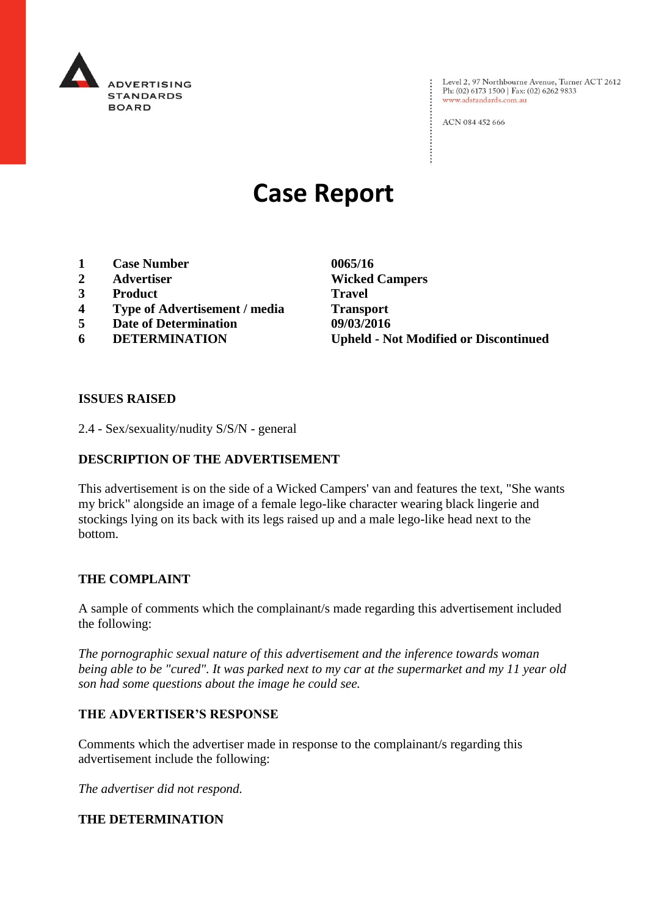

: Level 2, 97 Northbourne Avenue, Turner ACT 2612<br>: Ph: (02) 6173 1500 | Fax: (02) 6262 9833 Ph: (02) 6173 1500 | Fax: (02) 6262 9833 www.adstandards.com.au

ACN 084 452 666

# **Case Report**

- **1 Case Number 0065/16**
- 
- **3 Product Travel**
- **4 Type of Advertisement / media Transport**
- **5 Date of Determination 09/03/2016**
- 

**2 Advertiser Wicked Campers 6 DETERMINATION Upheld - Not Modified or Discontinued**

 $\vdots$ 

#### **ISSUES RAISED**

2.4 - Sex/sexuality/nudity S/S/N - general

# **DESCRIPTION OF THE ADVERTISEMENT**

This advertisement is on the side of a Wicked Campers' van and features the text, "She wants my brick" alongside an image of a female lego-like character wearing black lingerie and stockings lying on its back with its legs raised up and a male lego-like head next to the bottom.

#### **THE COMPLAINT**

A sample of comments which the complainant/s made regarding this advertisement included the following:

*The pornographic sexual nature of this advertisement and the inference towards woman being able to be "cured". It was parked next to my car at the supermarket and my 11 year old son had some questions about the image he could see.*

# **THE ADVERTISER'S RESPONSE**

Comments which the advertiser made in response to the complainant/s regarding this advertisement include the following:

*The advertiser did not respond.*

# **THE DETERMINATION**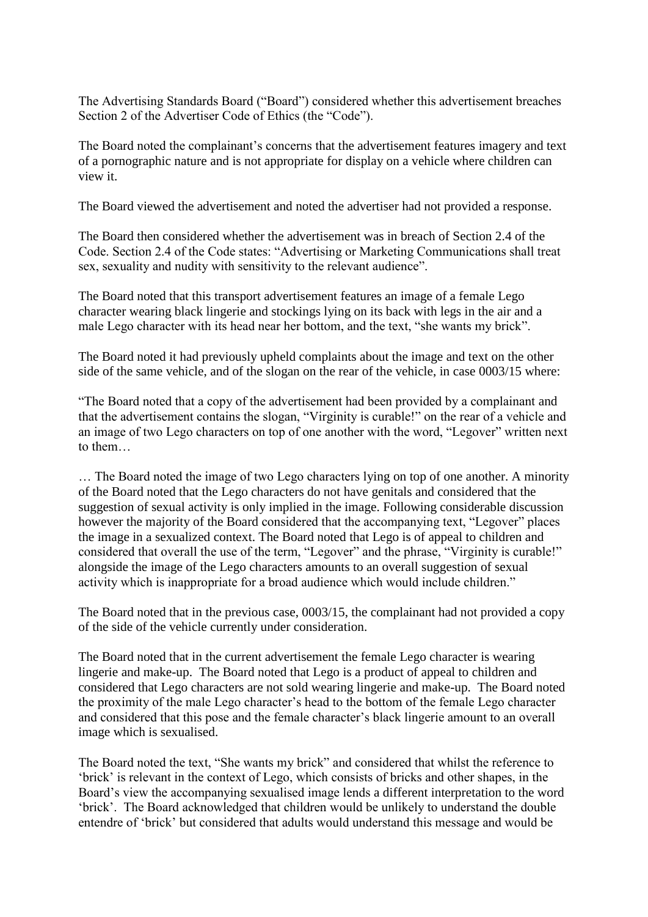The Advertising Standards Board ("Board") considered whether this advertisement breaches Section 2 of the Advertiser Code of Ethics (the "Code").

The Board noted the complainant's concerns that the advertisement features imagery and text of a pornographic nature and is not appropriate for display on a vehicle where children can view it.

The Board viewed the advertisement and noted the advertiser had not provided a response.

The Board then considered whether the advertisement was in breach of Section 2.4 of the Code. Section 2.4 of the Code states: "Advertising or Marketing Communications shall treat sex, sexuality and nudity with sensitivity to the relevant audience".

The Board noted that this transport advertisement features an image of a female Lego character wearing black lingerie and stockings lying on its back with legs in the air and a male Lego character with its head near her bottom, and the text, "she wants my brick".

The Board noted it had previously upheld complaints about the image and text on the other side of the same vehicle, and of the slogan on the rear of the vehicle, in case 0003/15 where:

"The Board noted that a copy of the advertisement had been provided by a complainant and that the advertisement contains the slogan, "Virginity is curable!" on the rear of a vehicle and an image of two Lego characters on top of one another with the word, "Legover" written next to them…

… The Board noted the image of two Lego characters lying on top of one another. A minority of the Board noted that the Lego characters do not have genitals and considered that the suggestion of sexual activity is only implied in the image. Following considerable discussion however the majority of the Board considered that the accompanying text, "Legover" places the image in a sexualized context. The Board noted that Lego is of appeal to children and considered that overall the use of the term, "Legover" and the phrase, "Virginity is curable!" alongside the image of the Lego characters amounts to an overall suggestion of sexual activity which is inappropriate for a broad audience which would include children."

The Board noted that in the previous case, 0003/15, the complainant had not provided a copy of the side of the vehicle currently under consideration.

The Board noted that in the current advertisement the female Lego character is wearing lingerie and make-up. The Board noted that Lego is a product of appeal to children and considered that Lego characters are not sold wearing lingerie and make-up. The Board noted the proximity of the male Lego character's head to the bottom of the female Lego character and considered that this pose and the female character's black lingerie amount to an overall image which is sexualised.

The Board noted the text, "She wants my brick" and considered that whilst the reference to 'brick' is relevant in the context of Lego, which consists of bricks and other shapes, in the Board's view the accompanying sexualised image lends a different interpretation to the word 'brick'. The Board acknowledged that children would be unlikely to understand the double entendre of 'brick' but considered that adults would understand this message and would be